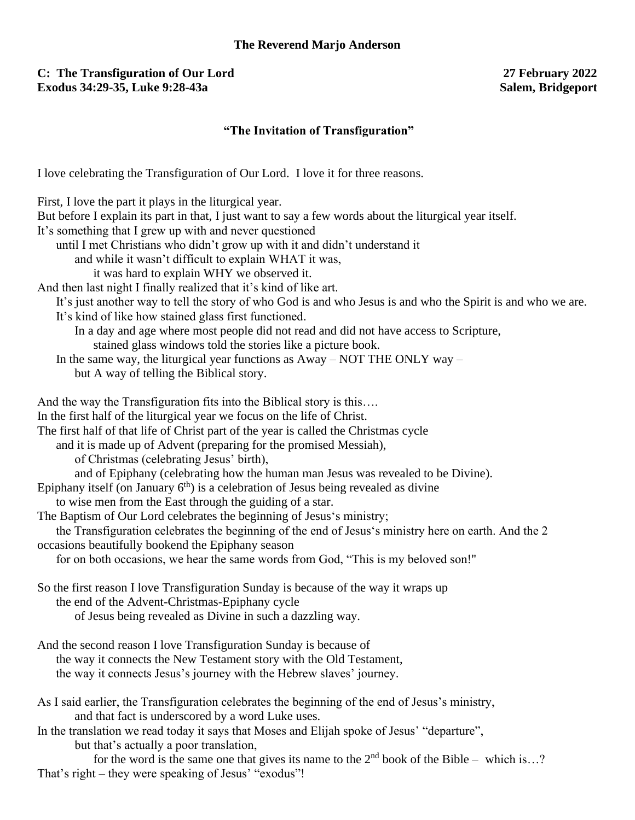## **C: The Transfiguration of Our Lord 27 February 2022 Exodus 34:29-35, Luke 9:28-43a**

# **"The Invitation of Transfiguration"**

I love celebrating the Transfiguration of Our Lord. I love it for three reasons.

| First, I love the part it plays in the liturgical year.                                                      |
|--------------------------------------------------------------------------------------------------------------|
| But before I explain its part in that, I just want to say a few words about the liturgical year itself.      |
| It's something that I grew up with and never questioned                                                      |
| until I met Christians who didn't grow up with it and didn't understand it                                   |
| and while it wasn't difficult to explain WHAT it was,                                                        |
| it was hard to explain WHY we observed it.                                                                   |
| And then last night I finally realized that it's kind of like art.                                           |
| It's just another way to tell the story of who God is and who Jesus is and who the Spirit is and who we are. |
| It's kind of like how stained glass first functioned.                                                        |
| In a day and age where most people did not read and did not have access to Scripture,                        |
| stained glass windows told the stories like a picture book.                                                  |
| In the same way, the liturgical year functions as $A$ way – NOT THE ONLY way –                               |
| but A way of telling the Biblical story.                                                                     |
|                                                                                                              |
| And the way the Transfiguration fits into the Biblical story is this                                         |
| In the first half of the liturgical year we focus on the life of Christ.                                     |
| The first half of that life of Christ part of the year is called the Christmas cycle                         |
| and it is made up of Advent (preparing for the promised Messiah),                                            |
|                                                                                                              |
| of Christmas (celebrating Jesus' birth),                                                                     |
| and of Epiphany (celebrating how the human man Jesus was revealed to be Divine).                             |
| Epiphany itself (on January $6th$ ) is a celebration of Jesus being revealed as divine                       |
| to wise men from the East through the guiding of a star.                                                     |
| The Baptism of Our Lord celebrates the beginning of Jesus's ministry;                                        |
| the Transfiguration celebrates the beginning of the end of Jesus's ministry here on earth. And the 2         |
| occasions beautifully bookend the Epiphany season                                                            |
| for on both occasions, we hear the same words from God, "This is my beloved son!"                            |
|                                                                                                              |
| So the first reason I love Transfiguration Sunday is because of the way it wraps up                          |
| the end of the Advent-Christmas-Epiphany cycle                                                               |
| of Jesus being revealed as Divine in such a dazzling way.                                                    |
| And the second reason I love Transfiguration Sunday is because of                                            |
| the way it connects the New Testament story with the Old Testament,                                          |
| the way it connects Jesus's journey with the Hebrew slaves' journey.                                         |
|                                                                                                              |
| As I said earlier, the Transfiguration celebrates the beginning of the end of Jesus's ministry,              |
| and that fact is underscored by a word Luke uses.                                                            |
| In the translation we read today it says that Moses and Elijah spoke of Jesus' "departure",                  |
| but that's actually a poor translation,                                                                      |
| for the word is the same one that gives its name to the $2nd$ book of the Bible – which is?                  |
| That's right – they were speaking of Jesus' "exodus"!                                                        |
|                                                                                                              |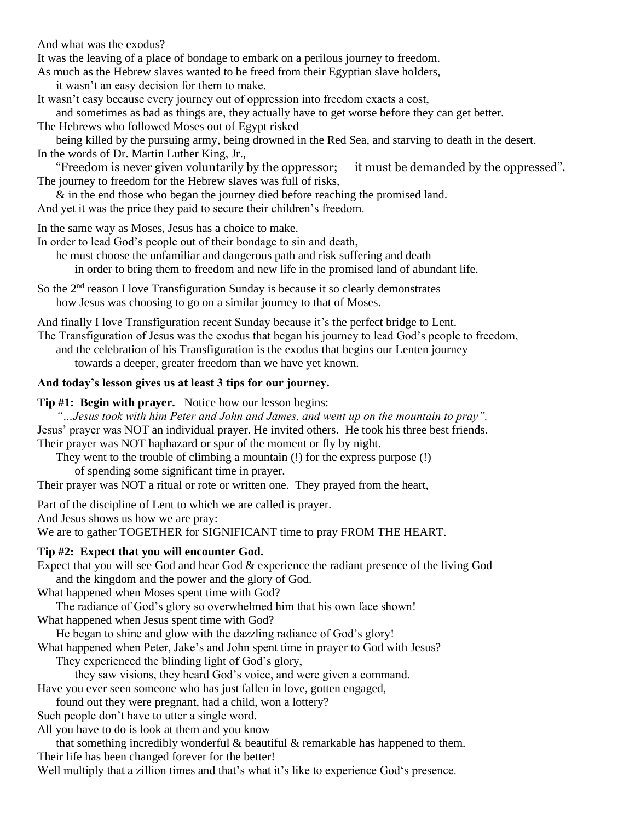And what was the exodus?

It was the leaving of a place of bondage to embark on a perilous journey to freedom.

As much as the Hebrew slaves wanted to be freed from their Egyptian slave holders,

- it wasn't an easy decision for them to make.
- It wasn't easy because every journey out of oppression into freedom exacts a cost, and sometimes as bad as things are, they actually have to get worse before they can get better.
- The Hebrews who followed Moses out of Egypt risked

being killed by the pursuing army, being drowned in the Red Sea, and starving to death in the desert. In the words of Dr. Martin Luther King, Jr.,

"Freedom is never given voluntarily by the oppressor; it must be demanded by the oppressed". The journey to freedom for the Hebrew slaves was full of risks,

& in the end those who began the journey died before reaching the promised land.

And yet it was the price they paid to secure their children's freedom.

In the same way as Moses, Jesus has a choice to make.

In order to lead God's people out of their bondage to sin and death,

he must choose the unfamiliar and dangerous path and risk suffering and death

in order to bring them to freedom and new life in the promised land of abundant life.

So the  $2<sup>nd</sup>$  reason I love Transfiguration Sunday is because it so clearly demonstrates how Jesus was choosing to go on a similar journey to that of Moses.

And finally I love Transfiguration recent Sunday because it's the perfect bridge to Lent.

The Transfiguration of Jesus was the exodus that began his journey to lead God's people to freedom, and the celebration of his Transfiguration is the exodus that begins our Lenten journey

towards a deeper, greater freedom than we have yet known.

#### **And today's lesson gives us at least 3 tips for our journey.**

#### **Tip #1: Begin with prayer.** Notice how our lesson begins:

*"…Jesus took with him Peter and John and James, and went up on the mountain to pray".* Jesus' prayer was NOT an individual prayer. He invited others. He took his three best friends. Their prayer was NOT haphazard or spur of the moment or fly by night.

They went to the trouble of climbing a mountain (!) for the express purpose (!)

of spending some significant time in prayer.

Their prayer was NOT a ritual or rote or written one. They prayed from the heart,

Part of the discipline of Lent to which we are called is prayer.

And Jesus shows us how we are pray:

We are to gather TOGETHER for SIGNIFICANT time to pray FROM THE HEART.

## **Tip #2: Expect that you will encounter God.**

Expect that you will see God and hear God & experience the radiant presence of the living God and the kingdom and the power and the glory of God.

What happened when Moses spent time with God?

The radiance of God's glory so overwhelmed him that his own face shown!

What happened when Jesus spent time with God?

He began to shine and glow with the dazzling radiance of God's glory!

What happened when Peter, Jake's and John spent time in prayer to God with Jesus? They experienced the blinding light of God's glory,

they saw visions, they heard God's voice, and were given a command.

Have you ever seen someone who has just fallen in love, gotten engaged,

found out they were pregnant, had a child, won a lottery?

Such people don't have to utter a single word.

All you have to do is look at them and you know

that something incredibly wonderful  $\&$  beautiful  $\&$  remarkable has happened to them. Their life has been changed forever for the better!

Well multiply that a zillion times and that's what it's like to experience God's presence.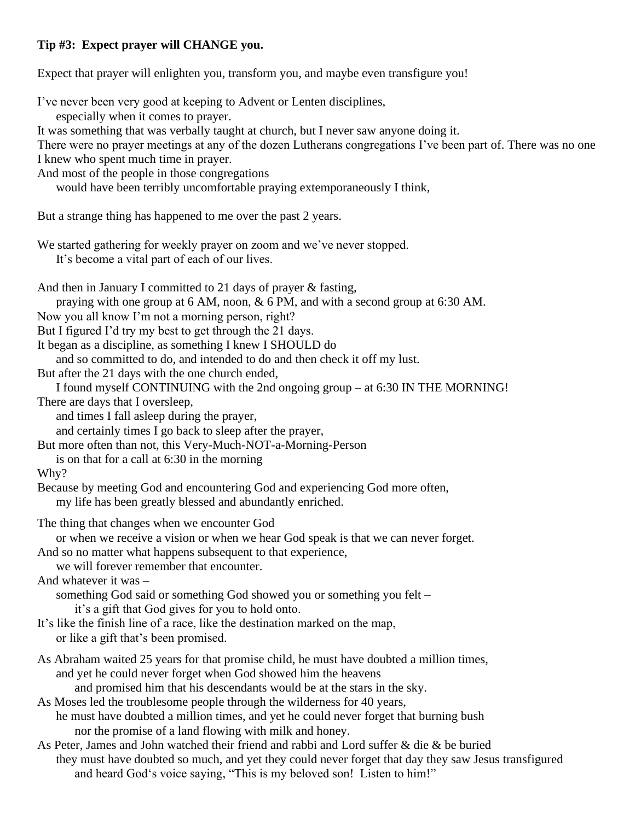## **Tip #3: Expect prayer will CHANGE you.**

Expect that prayer will enlighten you, transform you, and maybe even transfigure you!

I've never been very good at keeping to Advent or Lenten disciplines, especially when it comes to prayer. It was something that was verbally taught at church, but I never saw anyone doing it. There were no prayer meetings at any of the dozen Lutherans congregations I've been part of. There was no one I knew who spent much time in prayer. And most of the people in those congregations would have been terribly uncomfortable praying extemporaneously I think, But a strange thing has happened to me over the past 2 years. We started gathering for weekly prayer on zoom and we've never stopped. It's become a vital part of each of our lives. And then in January I committed to 21 days of prayer & fasting, praying with one group at 6 AM, noon, & 6 PM, and with a second group at 6:30 AM. Now you all know I'm not a morning person, right? But I figured I'd try my best to get through the 21 days. It began as a discipline, as something I knew I SHOULD do and so committed to do, and intended to do and then check it off my lust. But after the 21 days with the one church ended, I found myself CONTINUING with the 2nd ongoing group – at 6:30 IN THE MORNING! There are days that I oversleep, and times I fall asleep during the prayer, and certainly times I go back to sleep after the prayer, But more often than not, this Very-Much-NOT-a-Morning-Person is on that for a call at 6:30 in the morning Why? Because by meeting God and encountering God and experiencing God more often, my life has been greatly blessed and abundantly enriched. The thing that changes when we encounter God or when we receive a vision or when we hear God speak is that we can never forget. And so no matter what happens subsequent to that experience, we will forever remember that encounter. And whatever it was – something God said or something God showed you or something you felt – it's a gift that God gives for you to hold onto. It's like the finish line of a race, like the destination marked on the map, or like a gift that's been promised. As Abraham waited 25 years for that promise child, he must have doubted a million times, and yet he could never forget when God showed him the heavens and promised him that his descendants would be at the stars in the sky. As Moses led the troublesome people through the wilderness for 40 years, he must have doubted a million times, and yet he could never forget that burning bush nor the promise of a land flowing with milk and honey. As Peter, James and John watched their friend and rabbi and Lord suffer & die & be buried they must have doubted so much, and yet they could never forget that day they saw Jesus transfigured and heard God's voice saying, "This is my beloved son! Listen to him!"